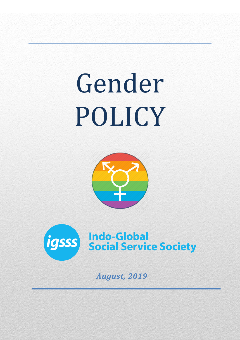# Gender POLICY





*August, 2019*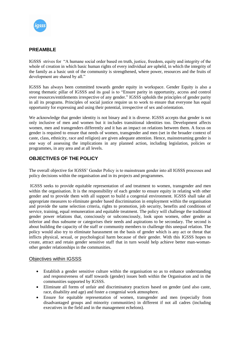

## **PREAMBLE**

IGSSS strives for "A humane social order based on truth, justice, freedom, equity and integrity of the whole of creation in which basic human rights of every individual are upheld, in which the integrity of the family as a basic unit of the community is strengthened, where power, resources and the fruits of development are shared by all."

IGSSS has always been committed towards gender equity in workspace. Gender Equity is also a strong thematic pillar of IGSSS and its goal is to "Ensure parity in opportunity, access and control over resources/entitlements irrespective of any gender." IGSSS upholds the principles of gender parity in all its programs. Principles of social justice require us to work to ensure that everyone has equal opportunity for expressing and using their potential, irrespective of sex and orientation.

We acknowledge that gender identity is not binary and it is diverse. IGSSS accepts that gender is not only inclusive of men and women but it includes transitional identities too. Development affects women, men and transgenders differently and it has an impact on relations between them. A focus on gender is required to ensure that needs of women, transgender and men (set in the broader context of caste, class, ethnicity, race and religion) are given adequate attention. Hence, mainstreaming gender is one way of assessing the implications in any planned action, including legislation, policies or programmes, in any area and at all levels.

# **OBJECTIVES OF THE POLICY**

The overall objective for IGSSS' Gender Policy is to mainstream gender into all IGSSS processes and policy decisions within the organisation and in its projects and programmes.

IGSSS seeks to provide equitable representation of and treatment to women, transgender and men within the organisation. It is the responsibility of each gender to ensure equity in relating with other gender and to provide them with all support to build a congenial environment. IGSSS shall take all appropriate measures to eliminate gender based discrimination in employment within the organisation and provide the same selection criteria, rights to promotion, job security, benefits and conditions of service, training, equal remuneration and equitable treatment. The policy will challenge the traditional gender power relations that, consciously or subconsciously, look upon women, other gender as inferior and thus subsume or categorises their needs and aspirations to be secondary. The second is about building the capacity of the staff or community members to challenge this unequal relation. The policy would also try to eliminate harassment on the basis of gender which is any act or threat that inflicts physical, sexual, or psychological harm because of their gender. With this IGSSS hopes to create, attract and retain gender sensitive staff that in turn would help achieve better man-womanother gender relationships in the communities.

#### Objectives within IGSSS

- Establish a gender sensitive culture within the organisation so as to enhance understanding and responsiveness of staff towards (gender) issues both within the Organisation and in the communities supported by IGSSS.
- Eliminate all forms of unfair and discriminatory practices based on gender (and also caste, race, disability and age) and foster a congenial work atmosphere.
- Ensure for equitable representation of women, transgender and men (especially from disadvantaged groups and minority communities) in different if not all cadres (including executives in the field and in the management echelons).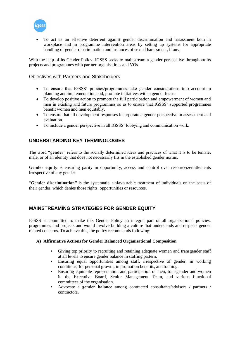

 To act as an effective deterrent against gender discrimination and harassment both in workplace and in programme intervention areas by setting up systems for appropriate handling of gender discrimination and instances of sexual harassment, if any.

With the help of its Gender Policy, IGSSS seeks to mainstream a gender perspective throughout its projects and programmes with partner organisations and VOs.

#### Objectives with Partners and Stakeholders

- To ensure that IGSSS' policies/programmes take gender considerations into account in planning and implementation and, promote initiatives with a gender focus.
- To develop positive action to promote the full participation and empowerment of women and men in existing and future programmes so as to ensure that IGSSS' supported programmes benefit women and men equitably.
- To ensure that all development responses incorporate a gender perspective in assessment and evaluation.
- To include a gender perspective in all IGSSS' lobbying and communication work.

## **UNDERSTANDING KEY TERMINOLOGIES**

The word **"gender**" refers to the socially determined ideas and practices of what it is to be female, male, or of an identity that does not necessarily fits in the established gender norms,

**Gender equity is** ensuring parity in opportunity, access and control over resources/entitlements irrespective of any gender.

"**Gender discrimination"** is the systematic, unfavourable treatment of individuals on the basis of their gender, which denies those rights, opportunities or resources.

## **MAINSTREAMING STRATEGIES FOR GENDER EQUITY**

IGSSS is committed to make this Gender Policy an integral part of all organisational policies, programmes and projects and would involve building a culture that understands and respects gender related concerns. To achieve this, the policy recommends following:

#### **A) Affirmative Actions for Gender Balanced Organisational Composition**

- Giving top priority to recruiting and retaining adequate women and transgender staff at all levels to ensure gender balance in staffing pattern.
- Ensuring equal opportunities among staff, irrespective of gender, in working conditions, for personal growth, in promotion benefits, and training.
- Ensuring equitable representation and participation of men, transgender and women in the Executive Board, Senior Management Team, and various functional committees of the organisation.
- Advocate a **gender balance** among contracted consultants/advisors / partners / contractors.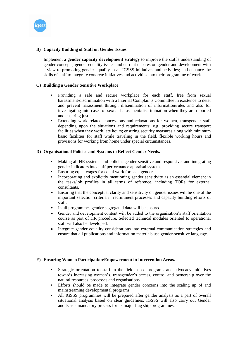

#### **B) Capacity Building of Staff on Gender Issues**

Implement a **gender capacity development strategy** to improve the staff's understanding of gender concepts, gender equality issues and current debates on gender and development with a view to promoting gender equality in all IGSSS initiatives and activities; and enhance the skills of staff to integrate concrete initiatives and activities into their programme of work.

#### **C) Building a Gender Sensitive Workplace**

- Providing a safe and secure workplace for each staff, free from sexual harassment/discrimination with a Internal Complaints Committee in existence to deter and prevent harassment through dissemination of information/rules and also for investigating into cases of sexual harassment/discrimination when they are reported and ensuring justice.
- Extending work related concessions and relaxations for women, transgender staff depending upon the situations and requirements; e.g. providing secure transport facilities when they work late hours; ensuring security measures along with minimum basic facilities for staff while traveling in the field, flexible working hours and provisions for working from home under special circumstances.

#### **D) Organisational Policies and Systems to Reflect Gender Needs.**

- Making all HR systems and policies gender-sensitive and responsive, and integrating gender indicators into staff performance appraisal systems.
- Ensuring equal wages for equal work for each gender.
- Incorporating and explicitly mentioning gender sensitivity as an essential element in the tasks/job profiles in all terms of reference, including TORs for external consultants.
- Ensuring that the conceptual clarity and sensitivity on gender issues will be one of the important selection criteria in recruitment processes and capacity building efforts of staff.
- In all programmes gender segregated data will be ensured.
- Gender and development content will be added to the organisation's staff orientation course as part of HR procedure. Selected technical modules oriented to operational staff will also be developed.
- Integrate gender equality considerations into external communication strategies and ensure that all publications and information materials use gender-sensitive language.

#### **E) Ensuring Women Participation/Empowerment in Intervention Areas.**

- Strategic orientation to staff in the field based programs and advocacy initiatives towards increasing women's, transgender's access, control and ownership over the natural resources, processes and organisations.
- Efforts should be made to integrate gender concerns into the scaling up of and mainstreaming developmental programs.
- All IGSSS programmes will be prepared after gender analysis as a part of overall situational analysis based on clear guidelines. IGSSS will also carry out Gender audits as a mandatory process for its major flag ship programmes.